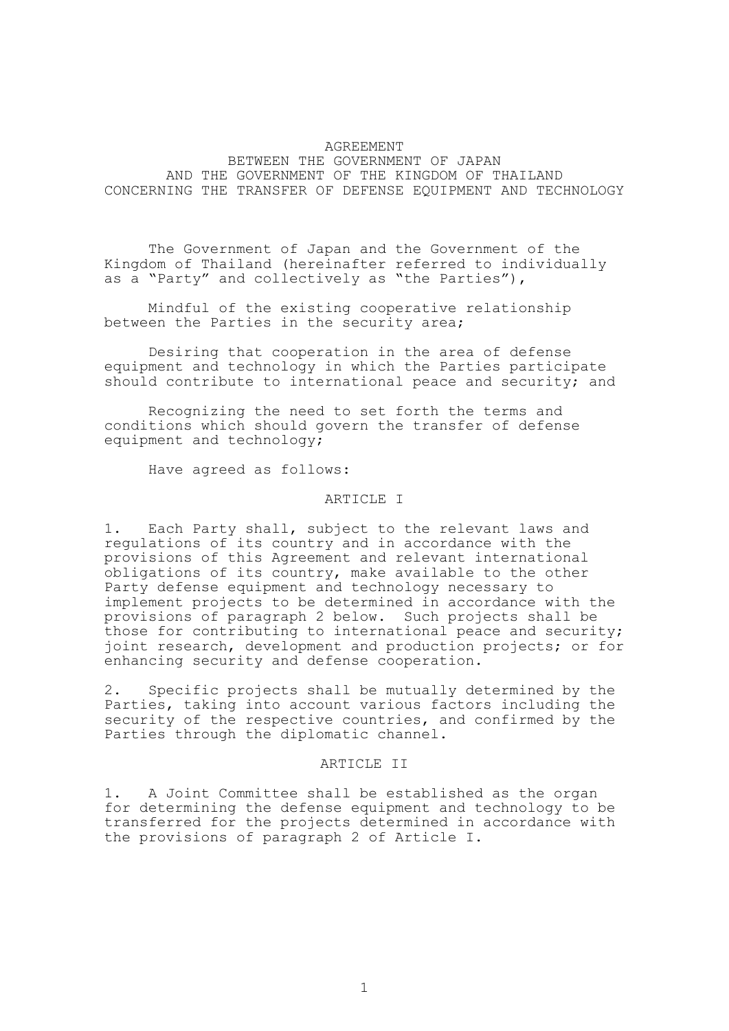## AGREEMENT

BETWEEN THE GOVERNMENT OF JAPAN AND THE GOVERNMENT OF THE KINGDOM OF THAILAND CONCERNING THE TRANSFER OF DEFENSE EQUIPMENT AND TECHNOLOGY

The Government of Japan and the Government of the Kingdom of Thailand (hereinafter referred to individually as a "Party" and collectively as "the Parties"),

Mindful of the existing cooperative relationship between the Parties in the security area;

Desiring that cooperation in the area of defense equipment and technology in which the Parties participate should contribute to international peace and security; and

Recognizing the need to set forth the terms and conditions which should govern the transfer of defense equipment and technology;

Have agreed as follows:

# ARTICLE I

1. Each Party shall, subject to the relevant laws and regulations of its country and in accordance with the provisions of this Agreement and relevant international obligations of its country, make available to the other Party defense equipment and technology necessary to implement projects to be determined in accordance with the provisions of paragraph 2 below. Such projects shall be those for contributing to international peace and security; joint research, development and production projects; or for enhancing security and defense cooperation.

2. Specific projects shall be mutually determined by the Parties, taking into account various factors including the security of the respective countries, and confirmed by the Parties through the diplomatic channel.

## ARTICLE II

1. A Joint Committee shall be established as the organ for determining the defense equipment and technology to be transferred for the projects determined in accordance with the provisions of paragraph 2 of Article I.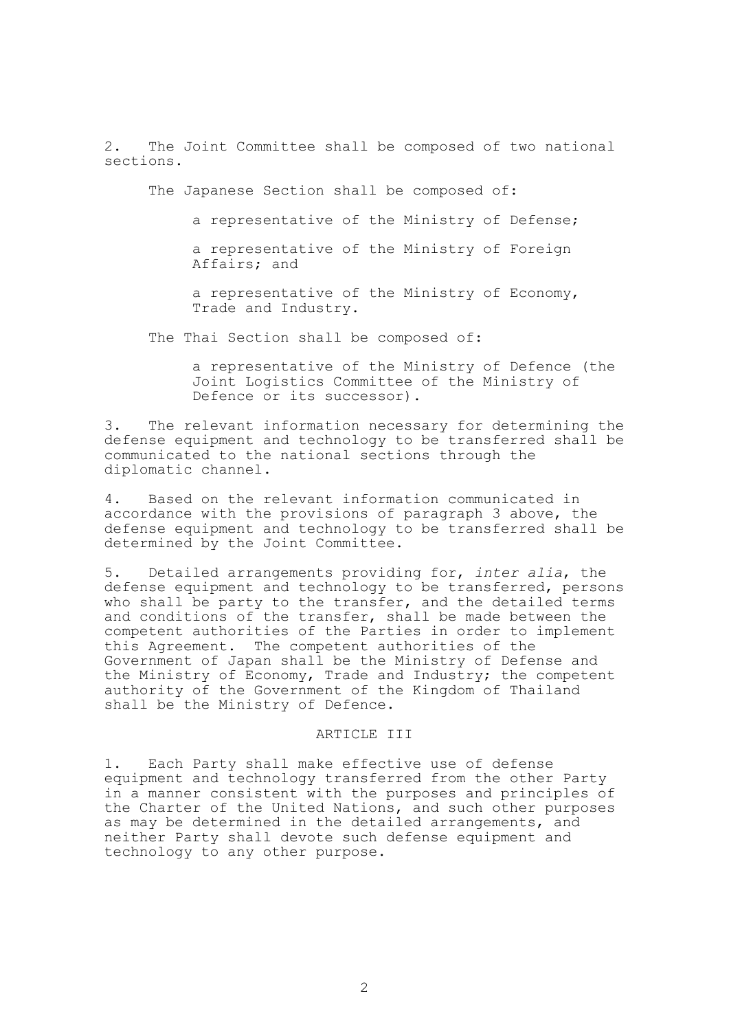2. The Joint Committee shall be composed of two national sections.

The Japanese Section shall be composed of:

- a representative of the Ministry of Defense;
- a representative of the Ministry of Foreign Affairs; and
- a representative of the Ministry of Economy, Trade and Industry.

The Thai Section shall be composed of:

a representative of the Ministry of Defence (the Joint Logistics Committee of the Ministry of Defence or its successor).

3. The relevant information necessary for determining the defense equipment and technology to be transferred shall be communicated to the national sections through the diplomatic channel.

4. Based on the relevant information communicated in accordance with the provisions of paragraph 3 above, the defense equipment and technology to be transferred shall be determined by the Joint Committee.

5. Detailed arrangements providing for, *inter alia*, the defense equipment and technology to be transferred, persons who shall be party to the transfer, and the detailed terms and conditions of the transfer, shall be made between the competent authorities of the Parties in order to implement this Agreement. The competent authorities of the Government of Japan shall be the Ministry of Defense and the Ministry of Economy, Trade and Industry; the competent authority of the Government of the Kingdom of Thailand shall be the Ministry of Defence.

# ARTICLE III

1. Each Party shall make effective use of defense equipment and technology transferred from the other Party in a manner consistent with the purposes and principles of the Charter of the United Nations, and such other purposes as may be determined in the detailed arrangements, and neither Party shall devote such defense equipment and technology to any other purpose.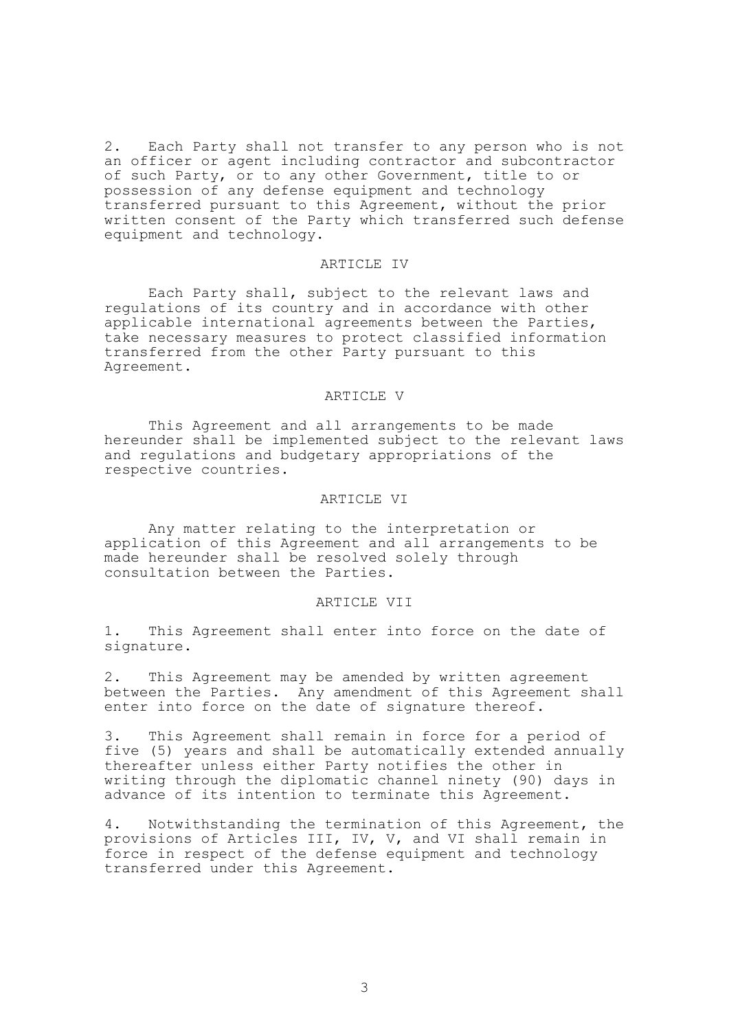2. Each Party shall not transfer to any person who is not an officer or agent including contractor and subcontractor of such Party, or to any other Government, title to or possession of any defense equipment and technology transferred pursuant to this Agreement, without the prior written consent of the Party which transferred such defense equipment and technology.

#### ARTICLE IV

Each Party shall, subject to the relevant laws and regulations of its country and in accordance with other applicable international agreements between the Parties, take necessary measures to protect classified information transferred from the other Party pursuant to this Agreement.

# ARTICLE V

This Agreement and all arrangements to be made hereunder shall be implemented subject to the relevant laws and regulations and budgetary appropriations of the respective countries.

## ARTICLE VI

Any matter relating to the interpretation or application of this Agreement and all arrangements to be made hereunder shall be resolved solely through consultation between the Parties.

## ARTICLE VII

1. This Agreement shall enter into force on the date of signature.

2. This Agreement may be amended by written agreement between the Parties. Any amendment of this Agreement shall enter into force on the date of signature thereof.

3. This Agreement shall remain in force for a period of five (5) years and shall be automatically extended annually thereafter unless either Party notifies the other in writing through the diplomatic channel ninety (90) days in advance of its intention to terminate this Agreement.

4. Notwithstanding the termination of this Agreement, the provisions of Articles III, IV, V, and VI shall remain in force in respect of the defense equipment and technology transferred under this Agreement.